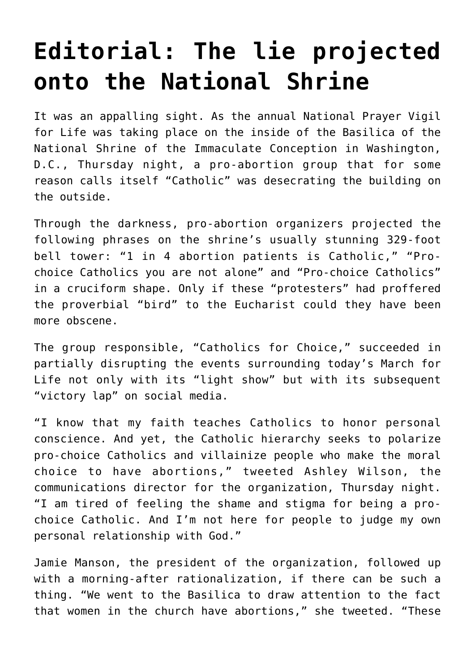## **[Editorial: The lie projected](https://www.osvnews.com/2022/01/21/editorial-the-lie-projected-onto-the-national-shrine/) [onto the National Shrine](https://www.osvnews.com/2022/01/21/editorial-the-lie-projected-onto-the-national-shrine/)**

It was an appalling sight. As the annual National Prayer Vigil for Life was taking place on the inside of the Basilica of the National Shrine of the Immaculate Conception in Washington, D.C., Thursday night, a pro-abortion group that for some reason calls itself "Catholic" was desecrating the building on the outside.

Through the darkness, pro-abortion organizers projected the following phrases on the shrine's usually stunning 329-foot bell tower: "1 in 4 abortion patients is Catholic," "Prochoice Catholics you are not alone" and "Pro-choice Catholics" in a cruciform shape. Only if these "protesters" had proffered the proverbial "bird" to the Eucharist could they have been more obscene.

The group responsible, "Catholics for Choice," succeeded in partially disrupting the events surrounding today's March for Life not only with its "light show" but with its subsequent "victory lap" on social media.

"I know that my faith teaches Catholics to honor personal conscience. And yet, the Catholic hierarchy seeks to polarize pro-choice Catholics and villainize people who make the moral choice to have abortions," tweeted Ashley Wilson, the communications director for the organization, Thursday night. "I am tired of feeling the shame and stigma for being a prochoice Catholic. And I'm not here for people to judge my own personal relationship with God."

Jamie Manson, the president of the organization, followed up with a morning-after rationalization, if there can be such a thing. "We went to the Basilica to draw attention to the fact that women in the church have abortions," she tweeted. "These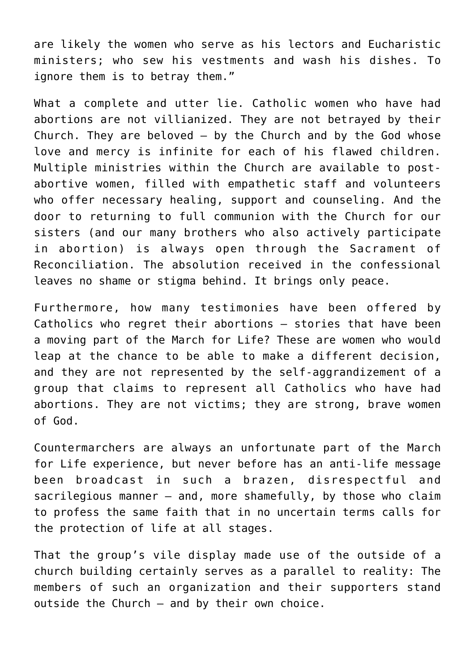are likely the women who serve as his lectors and Eucharistic ministers; who sew his vestments and wash his dishes. To ignore them is to betray them."

What a complete and utter lie. Catholic women who have had abortions are not villianized. They are not betrayed by their Church. They are beloved  $-$  by the Church and by the God whose love and mercy is infinite for each of his flawed children. Multiple ministries within the Church are available to postabortive women, filled with empathetic staff and volunteers who offer necessary healing, support and counseling. And the door to returning to full communion with the Church for our sisters (and our many brothers who also actively participate in abortion) is always open through the Sacrament of Reconciliation. The absolution received in the confessional leaves no shame or stigma behind. It brings only peace.

Furthermore, how many testimonies have been offered by Catholics who regret their abortions — stories that have been a moving part of the March for Life? These are women who would leap at the chance to be able to make a different decision, and they are not represented by the self-aggrandizement of a group that claims to represent all Catholics who have had abortions. They are not victims; they are strong, brave women of God.

Countermarchers are always an unfortunate part of the March for Life experience, but never before has an anti-life message been broadcast in such a brazen, disrespectful and sacrilegious manner  $-$  and, more shamefully, by those who claim to profess the same faith that in no uncertain terms calls for the protection of life at all stages.

That the group's vile display made use of the outside of a church building certainly serves as a parallel to reality: The members of such an organization and their supporters stand outside the Church — and by their own choice.